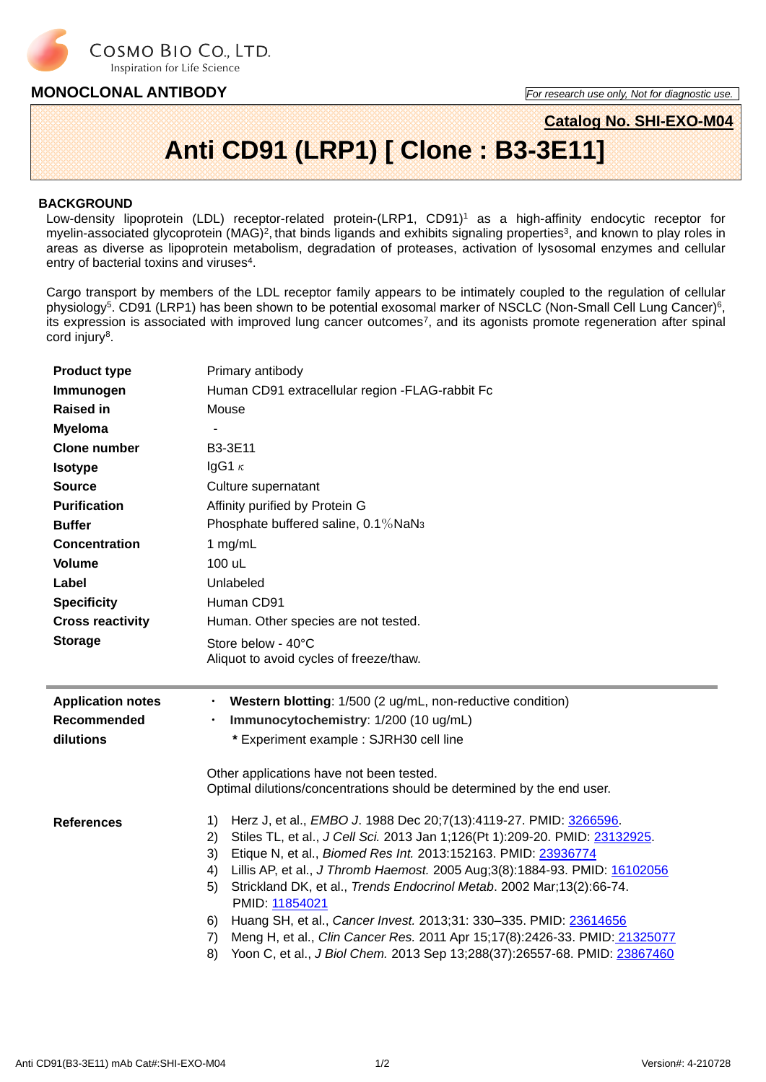

### **MONOCLONAL ANTIBODY** *For research use only, Not for diagnostic use.*

# **Catalog No. SHI-EXO-M04 Anti CD91 (LRP1) [ Clone : B3-3E11]**

#### **BACKGROUND**

Low-density lipoprotein (LDL) receptor-related protein-(LRP1, CD91) <sup>1</sup> as a high-affinity endocytic receptor for myelin-associated glycoprotein  $(MAG)^2$ , that binds ligands and exhibits signaling properties<sup>3</sup>, and known to play roles in areas as diverse as lipoprotein metabolism, degradation of proteases, activation of lysosomal enzymes and cellular entry of bacterial toxins and viruses<sup>4</sup>.

Cargo transport by members of the LDL receptor family appears to be intimately coupled to the regulation of cellular physiology<sup>5</sup>. CD91 (LRP1) has been shown to be potential exosomal marker of NSCLC (Non-Small Cell Lung Cancer)<sup>6</sup>, its expression is associated with improved lung cancer outcomes<sup>7</sup>, and its agonists promote regeneration after spinal cord injury<sup>8</sup>.

| <b>Product type</b>      | Primary antibody                                                                                                                                         |  |  |  |  |  |
|--------------------------|----------------------------------------------------------------------------------------------------------------------------------------------------------|--|--|--|--|--|
| Immunogen                | Human CD91 extracellular region -FLAG-rabbit Fc                                                                                                          |  |  |  |  |  |
| <b>Raised in</b>         | Mouse                                                                                                                                                    |  |  |  |  |  |
| <b>Myeloma</b>           |                                                                                                                                                          |  |  |  |  |  |
| <b>Clone number</b>      | B3-3E11                                                                                                                                                  |  |  |  |  |  |
| <b>Isotype</b>           | IgG1 $\kappa$                                                                                                                                            |  |  |  |  |  |
| <b>Source</b>            | Culture supernatant                                                                                                                                      |  |  |  |  |  |
| <b>Purification</b>      | Affinity purified by Protein G                                                                                                                           |  |  |  |  |  |
| <b>Buffer</b>            | Phosphate buffered saline, 0.1% NaN <sub>3</sub>                                                                                                         |  |  |  |  |  |
| <b>Concentration</b>     | 1 mg/mL                                                                                                                                                  |  |  |  |  |  |
| <b>Volume</b>            | 100 uL                                                                                                                                                   |  |  |  |  |  |
| Label                    | Unlabeled                                                                                                                                                |  |  |  |  |  |
| <b>Specificity</b>       | Human CD91                                                                                                                                               |  |  |  |  |  |
| <b>Cross reactivity</b>  | Human. Other species are not tested.                                                                                                                     |  |  |  |  |  |
| <b>Storage</b>           | Store below - 40°C                                                                                                                                       |  |  |  |  |  |
|                          | Aliquot to avoid cycles of freeze/thaw.                                                                                                                  |  |  |  |  |  |
|                          |                                                                                                                                                          |  |  |  |  |  |
|                          |                                                                                                                                                          |  |  |  |  |  |
| <b>Application notes</b> | Western blotting: 1/500 (2 ug/mL, non-reductive condition)<br>$\bullet$                                                                                  |  |  |  |  |  |
| <b>Recommended</b>       | Immunocytochemistry: 1/200 (10 ug/mL)                                                                                                                    |  |  |  |  |  |
| dilutions                | * Experiment example : SJRH30 cell line                                                                                                                  |  |  |  |  |  |
|                          |                                                                                                                                                          |  |  |  |  |  |
|                          | Other applications have not been tested.                                                                                                                 |  |  |  |  |  |
|                          | Optimal dilutions/concentrations should be determined by the end user.                                                                                   |  |  |  |  |  |
| <b>References</b>        | Herz J, et al., <i>EMBO J.</i> 1988 Dec 20;7(13):4119-27. PMID: 3266596.<br>1)                                                                           |  |  |  |  |  |
|                          | 2)<br>Stiles TL, et al., J Cell Sci. 2013 Jan 1;126(Pt 1):209-20. PMID: 23132925.<br>3)<br>Etique N, et al., Biomed Res Int. 2013:152163. PMID: 23936774 |  |  |  |  |  |
|                          | Lillis AP, et al., J Thromb Haemost. 2005 Aug;3(8):1884-93. PMID: 16102056<br>4)                                                                         |  |  |  |  |  |
|                          | Strickland DK, et al., Trends Endocrinol Metab. 2002 Mar;13(2):66-74.<br>5)<br>PMID: 11854021                                                            |  |  |  |  |  |
|                          | Huang SH, et al., Cancer Invest. 2013;31: 330-335. PMID: 23614656<br>6)                                                                                  |  |  |  |  |  |
|                          | Meng H, et al., Clin Cancer Res. 2011 Apr 15;17(8):2426-33. PMID: 21325077<br>7)                                                                         |  |  |  |  |  |
|                          | Yoon C, et al., J Biol Chem. 2013 Sep 13;288(37):26557-68. PMID: 23867460<br>8)                                                                          |  |  |  |  |  |